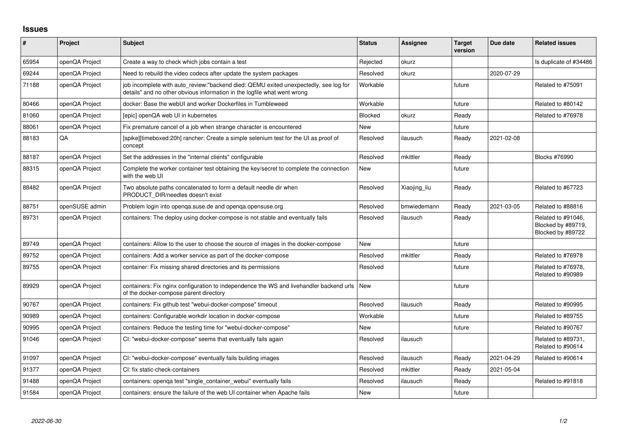## **Issues**

| $\sharp$ | Project        | Subject                                                                                                                                                          | <b>Status</b> | <b>Assignee</b> | <b>Target</b><br>version | Due date   | <b>Related issues</b>                                         |
|----------|----------------|------------------------------------------------------------------------------------------------------------------------------------------------------------------|---------------|-----------------|--------------------------|------------|---------------------------------------------------------------|
| 65954    | openQA Project | Create a way to check which jobs contain a test                                                                                                                  | Rejected      | okurz           |                          |            | Is duplicate of #34486                                        |
| 69244    | openQA Project | Need to rebuild the video codecs after update the system packages                                                                                                | Resolved      | okurz           |                          | 2020-07-29 |                                                               |
| 71188    | openQA Project | job incomplete with auto review:"backend died: QEMU exited unexpectedly, see log for<br>details" and no other obvious information in the logfile what went wrong | Workable      |                 | future                   |            | Related to #75091                                             |
| 80466    | openQA Project | docker: Base the webUI and worker Dockerfiles in Tumbleweed                                                                                                      | Workable      |                 | future                   |            | Related to #80142                                             |
| 81060    | openQA Project | Tepic] openQA web UI in kubernetes                                                                                                                               | Blocked       | okurz           | Ready                    |            | Related to #76978                                             |
| 88061    | openQA Project | Fix premature cancel of a job when strange character is encountered                                                                                              | <b>New</b>    |                 | future                   |            |                                                               |
| 88183    | QA             | [spike][timeboxed:20h] rancher: Create a simple selenium test for the UI as proof of<br>concept                                                                  | Resolved      | ilausuch        | Ready                    | 2021-02-08 |                                                               |
| 88187    | openQA Project | Set the addresses in the "internal clients" configurable                                                                                                         | Resolved      | mkittler        | Ready                    |            | <b>Blocks #76990</b>                                          |
| 88315    | openQA Project | Complete the worker container test obtaining the key/secret to complete the connection<br>with the web UI                                                        | <b>New</b>    |                 | future                   |            |                                                               |
| 88482    | openQA Project | Two absolute paths concatenated to form a default needle dir when<br>PRODUCT_DIR/needles doesn't exist                                                           | Resolved      | Xiaojing_liu    | Ready                    |            | Related to #67723                                             |
| 88751    | openSUSE admin | Problem login into openga.suse.de and openga.opensuse.org                                                                                                        | Resolved      | bmwiedemann     | Ready                    | 2021-03-05 | Related to #88816                                             |
| 89731    | openQA Project | containers: The deploy using docker-compose is not stable and eventually fails                                                                                   | Resolved      | ilausuch        | Ready                    |            | Related to #91046,<br>Blocked by #89719,<br>Blocked by #89722 |
| 89749    | openQA Project | containers: Allow to the user to choose the source of images in the docker-compose                                                                               | <b>New</b>    |                 | future                   |            |                                                               |
| 89752    | openQA Project | containers: Add a worker service as part of the docker-compose                                                                                                   | Resolved      | mkittler        | Ready                    |            | Related to #76978                                             |
| 89755    | openQA Project | container: Fix missing shared directories and its permissions                                                                                                    | Resolved      |                 | future                   |            | Related to #76978,<br>Related to #90989                       |
| 89929    | openQA Project | containers: Fix nginx configuration to independence the WS and livehandler backend urls<br>of the docker-compose parent directory                                | New           |                 | future                   |            |                                                               |
| 90767    | openQA Project | containers: Fix github test "webui-docker-compose" timeout                                                                                                       | Resolved      | ilausuch        | Ready                    |            | Related to #90995                                             |
| 90989    | openQA Project | containers: Configurable workdir location in docker-compose                                                                                                      | Workable      |                 | future                   |            | Related to #89755                                             |
| 90995    | openQA Project | containers: Reduce the testing time for "webui-docker-compose"                                                                                                   | New           |                 | future                   |            | Related to #90767                                             |
| 91046    | openQA Project | CI: "webui-docker-compose" seems that eventually fails again                                                                                                     | Resolved      | ilausuch        |                          |            | Related to #89731,<br>Related to #90614                       |
| 91097    | openQA Project | CI: "webui-docker-compose" eventually fails building images                                                                                                      | Resolved      | ilausuch        | Ready                    | 2021-04-29 | Related to #90614                                             |
| 91377    | openQA Project | CI: fix static-check-containers                                                                                                                                  | Resolved      | mkittler        | Ready                    | 2021-05-04 |                                                               |
| 91488    | openQA Project | containers: openqa test "single_container_webui" eventually fails                                                                                                | Resolved      | ilausuch        | Ready                    |            | Related to #91818                                             |
| 91584    | openQA Project | containers: ensure the failure of the web UI container when Apache fails                                                                                         | <b>New</b>    |                 | future                   |            |                                                               |